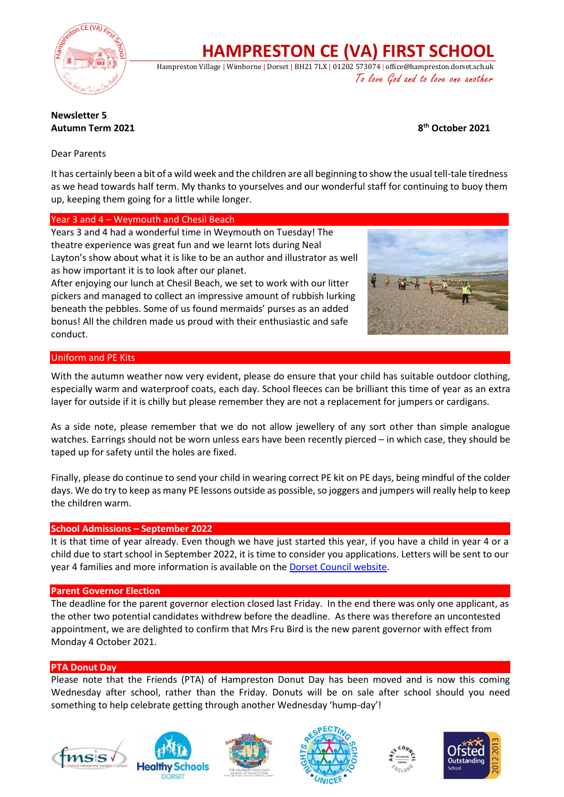

# **HAMPRESTON CE (VA) FIRST SCHOOL**

Hampreston Village | Wimborne | Dorset | BH21 7LX | 01202 573074 | office@hampreston.dorset.sch.uk To love God and to love one another

## **Newsletter 5 Autumn Term 2021 8**

**th October 2021**

Dear Parents

It has certainly been a bit of a wild week and the children are all beginning to show the usual tell-tale tiredness as we head towards half term. My thanks to yourselves and our wonderful staff for continuing to buoy them up, keeping them going for a little while longer.

### Year 3 and 4 – Weymouth and Chesil Beach

Years 3 and 4 had a wonderful time in Weymouth on Tuesday! The theatre experience was great fun and we learnt lots during Neal Layton's show about what it is like to be an author and illustrator as well as how important it is to look after our planet.

After enjoying our lunch at Chesil Beach, we set to work with our litter pickers and managed to collect an impressive amount of rubbish lurking beneath the pebbles. Some of us found mermaids' purses as an added bonus! All the children made us proud with their enthusiastic and safe conduct.



### Uniform and PE Kits

With the autumn weather now very evident, please do ensure that your child has suitable outdoor clothing, especially warm and waterproof coats, each day. School fleeces can be brilliant this time of year as an extra layer for outside if it is chilly but please remember they are not a replacement for jumpers or cardigans.

As a side note, please remember that we do not allow jewellery of any sort other than simple analogue watches. Earrings should not be worn unless ears have been recently pierced – in which case, they should be taped up for safety until the holes are fixed.

Finally, please do continue to send your child in wearing correct PE kit on PE days, being mindful of the colder days. We do try to keep as many PE lessons outside as possible, so joggers and jumpers will really help to keep the children warm.

#### **School Admissions – September 2022**

It is that time of year already. Even though we have just started this year, if you have a child in year 4 or a child due to start school in September 2022, it is time to consider you applications. Letters will be sent to our year 4 families and more information is available on th[e Dorset Council website.](https://www.dorsetcouncil.gov.uk/education-and-training/schools-and-learning/apply-for-a-school-place/apply-for-a-school-place)

#### **Parent Governor Election**

The deadline for the parent governor election closed last Friday. In the end there was only one applicant, as the other two potential candidates withdrew before the deadline. As there was therefore an uncontested appointment, we are delighted to confirm that Mrs Fru Bird is the new parent governor with effect from Monday 4 October 2021.

#### **PTA Donut Day**

Please note that the Friends (PTA) of Hampreston Donut Day has been moved and is now this coming Wednesday after school, rather than the Friday. Donuts will be on sale after school should you need something to help celebrate getting through another Wednesday 'hump-day'!











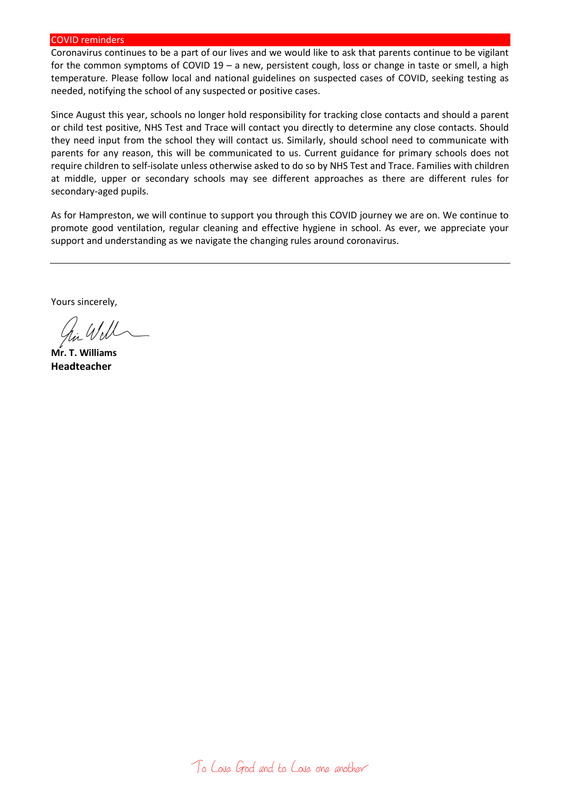#### COVID reminders

Coronavirus continues to be a part of our lives and we would like to ask that parents continue to be vigilant for the common symptoms of COVID 19 – a new, persistent cough, loss or change in taste or smell, a high temperature. Please follow local and national guidelines on suspected cases of COVID, seeking testing as needed, notifying the school of any suspected or positive cases.

Since August this year, schools no longer hold responsibility for tracking close contacts and should a parent or child test positive, NHS Test and Trace will contact you directly to determine any close contacts. Should they need input from the school they will contact us. Similarly, should school need to communicate with parents for any reason, this will be communicated to us. Current guidance for primary schools does not require children to self-isolate unless otherwise asked to do so by NHS Test and Trace. Families with children at middle, upper or secondary schools may see different approaches as there are different rules for secondary-aged pupils.

As for Hampreston, we will continue to support you through this COVID journey we are on. We continue to promote good ventilation, regular cleaning and effective hygiene in school. As ever, we appreciate your support and understanding as we navigate the changing rules around coronavirus.

Yours sincerely,

**Mr. T. Williams Headteacher**

To Love God and to Love one another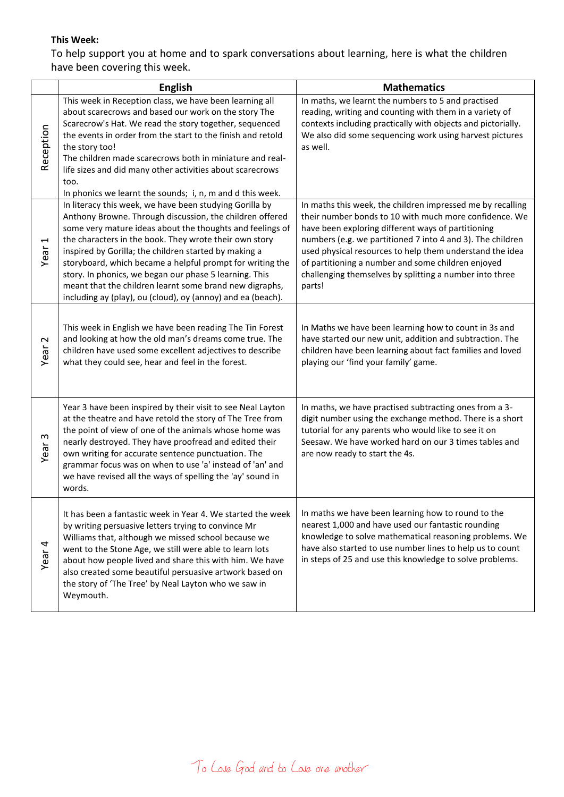## **This Week:**

To help support you at home and to spark conversations about learning, here is what the children have been covering this week.

|                               | <b>English</b>                                                                                                                                                                                                                                                                                                                                                                                                                                                                                                                                       | <b>Mathematics</b>                                                                                                                                                                                                                                                                                                                                                                                                              |
|-------------------------------|------------------------------------------------------------------------------------------------------------------------------------------------------------------------------------------------------------------------------------------------------------------------------------------------------------------------------------------------------------------------------------------------------------------------------------------------------------------------------------------------------------------------------------------------------|---------------------------------------------------------------------------------------------------------------------------------------------------------------------------------------------------------------------------------------------------------------------------------------------------------------------------------------------------------------------------------------------------------------------------------|
| Reception                     | This week in Reception class, we have been learning all<br>about scarecrows and based our work on the story The<br>Scarecrow's Hat. We read the story together, sequenced<br>the events in order from the start to the finish and retold<br>the story too!<br>The children made scarecrows both in miniature and real-<br>life sizes and did many other activities about scarecrows<br>too.<br>In phonics we learnt the sounds; i, n, m and d this week.                                                                                             | In maths, we learnt the numbers to 5 and practised<br>reading, writing and counting with them in a variety of<br>contexts including practically with objects and pictorially.<br>We also did some sequencing work using harvest pictures<br>as well.                                                                                                                                                                            |
| $\blacktriangleright$<br>Year | In literacy this week, we have been studying Gorilla by<br>Anthony Browne. Through discussion, the children offered<br>some very mature ideas about the thoughts and feelings of<br>the characters in the book. They wrote their own story<br>inspired by Gorilla; the children started by making a<br>storyboard, which became a helpful prompt for writing the<br>story. In phonics, we began our phase 5 learning. This<br>meant that the children learnt some brand new digraphs,<br>including ay (play), ou (cloud), oy (annoy) and ea (beach). | In maths this week, the children impressed me by recalling<br>their number bonds to 10 with much more confidence. We<br>have been exploring different ways of partitioning<br>numbers (e.g. we partitioned 7 into 4 and 3). The children<br>used physical resources to help them understand the idea<br>of partitioning a number and some children enjoyed<br>challenging themselves by splitting a number into three<br>parts! |
| $\sim$<br>Year                | This week in English we have been reading The Tin Forest<br>and looking at how the old man's dreams come true. The<br>children have used some excellent adjectives to describe<br>what they could see, hear and feel in the forest.                                                                                                                                                                                                                                                                                                                  | In Maths we have been learning how to count in 3s and<br>have started our new unit, addition and subtraction. The<br>children have been learning about fact families and loved<br>playing our 'find your family' game.                                                                                                                                                                                                          |
| ო<br>Year                     | Year 3 have been inspired by their visit to see Neal Layton<br>at the theatre and have retold the story of The Tree from<br>the point of view of one of the animals whose home was<br>nearly destroyed. They have proofread and edited their<br>own writing for accurate sentence punctuation. The<br>grammar focus was on when to use 'a' instead of 'an' and<br>we have revised all the ways of spelling the 'ay' sound in<br>words.                                                                                                               | In maths, we have practised subtracting ones from a 3-<br>digit number using the exchange method. There is a short<br>tutorial for any parents who would like to see it on<br>Seesaw. We have worked hard on our 3 times tables and<br>are now ready to start the 4s.                                                                                                                                                           |
| Year 4                        | It has been a fantastic week in Year 4. We started the week<br>by writing persuasive letters trying to convince Mr<br>Williams that, although we missed school because we<br>went to the Stone Age, we still were able to learn lots<br>about how people lived and share this with him. We have<br>also created some beautiful persuasive artwork based on<br>the story of 'The Tree' by Neal Layton who we saw in<br>Weymouth.                                                                                                                      | In maths we have been learning how to round to the<br>nearest 1,000 and have used our fantastic rounding<br>knowledge to solve mathematical reasoning problems. We<br>have also started to use number lines to help us to count<br>in steps of 25 and use this knowledge to solve problems.                                                                                                                                     |